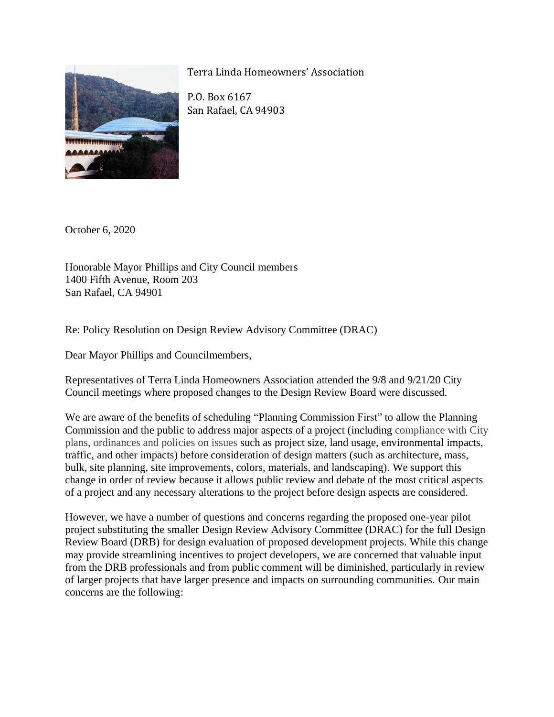

Terra Linda Homeowners' Association

P.O. Box 6167 San Rafael, CA 94903

October 6, 2020

Honorable Mayor Phillips and City Council members 1400 Fifth Avenue, Room 203 San Rafael, CA 94901

Re: Policy Resolution on Design Review Advisory Committee (DRAC)

Dear Mayor Phillips and Councilmembers,

Representatives of Terra Linda Homeowners Association attended the 9/8 and 9/21/20 City Council meetings where proposed changes to the Design Review Board were discussed.

We are aware of the benefits of scheduling "Planning Commission First" to allow the Planning Commission and the public to address major aspects of a project (including compliance with City plans, ordinances and policies on issues such as project size, land usage, environmental impacts, traffic, and other impacts) before consideration of design matters (such as architecture, mass, bulk, site planning, site improvements, colors, materials, and landscaping). We support this change in order of review because it allows public review and debate of the most critical aspects of a project and any necessary alterations to the project before design aspects are considered.

However, we have a number of questions and concerns regarding the proposed one-year pilot project substituting the smaller Design Review Advisory Committee (DRAC) for the full Design Review Board (DRB) for design evaluation of proposed development projects. While this change may provide streamlining incentives to project developers, we are concerned that valuable input from the DRB professionals and from public comment will be diminished, particularly in review of larger projects that have larger presence and impacts on surrounding communities. Our main concerns are the following: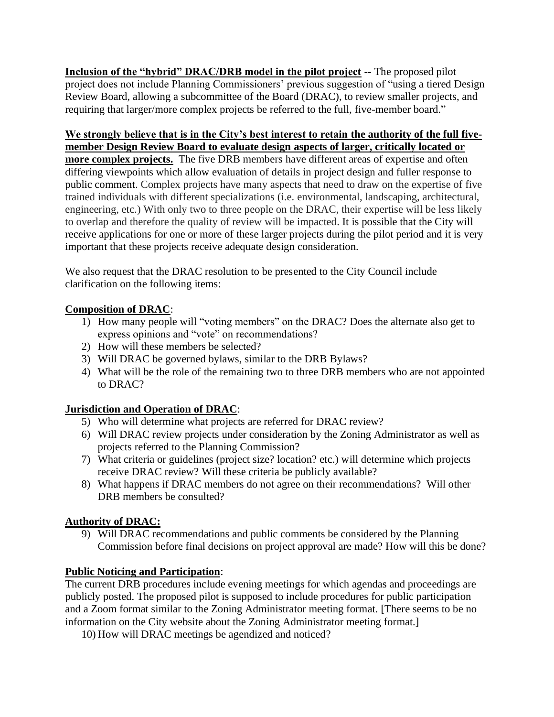**Inclusion of the "hybrid" DRAC/DRB model in the pilot project** -- The proposed pilot project does not include Planning Commissioners' previous suggestion of "using a tiered Design Review Board, allowing a subcommittee of the Board (DRAC), to review smaller projects, and requiring that larger/more complex projects be referred to the full, five-member board."

### **We strongly believe that is in the City's best interest to retain the authority of the full fivemember Design Review Board to evaluate design aspects of larger, critically located or**

**more complex projects.** The five DRB members have different areas of expertise and often differing viewpoints which allow evaluation of details in project design and fuller response to public comment. Complex projects have many aspects that need to draw on the expertise of five trained individuals with different specializations (i.e. environmental, landscaping, architectural, engineering, etc.) With only two to three people on the DRAC, their expertise will be less likely to overlap and therefore the quality of review will be impacted. It is possible that the City will receive applications for one or more of these larger projects during the pilot period and it is very important that these projects receive adequate design consideration.

We also request that the DRAC resolution to be presented to the City Council include clarification on the following items:

### **Composition of DRAC**:

- 1) How many people will "voting members" on the DRAC? Does the alternate also get to express opinions and "vote" on recommendations?
- 2) How will these members be selected?
- 3) Will DRAC be governed bylaws, similar to the DRB Bylaws?
- 4) What will be the role of the remaining two to three DRB members who are not appointed to DRAC?

# **Jurisdiction and Operation of DRAC**:

- 5) Who will determine what projects are referred for DRAC review?
- 6) Will DRAC review projects under consideration by the Zoning Administrator as well as projects referred to the Planning Commission?
- 7) What criteria or guidelines (project size? location? etc.) will determine which projects receive DRAC review? Will these criteria be publicly available?
- 8) What happens if DRAC members do not agree on their recommendations? Will other DRB members be consulted?

# **Authority of DRAC:**

9) Will DRAC recommendations and public comments be considered by the Planning Commission before final decisions on project approval are made? How will this be done?

# **Public Noticing and Participation**:

The current DRB procedures include evening meetings for which agendas and proceedings are publicly posted. The proposed pilot is supposed to include procedures for public participation and a Zoom format similar to the Zoning Administrator meeting format. [There seems to be no information on the City website about the Zoning Administrator meeting format.]

10) How will DRAC meetings be agendized and noticed?